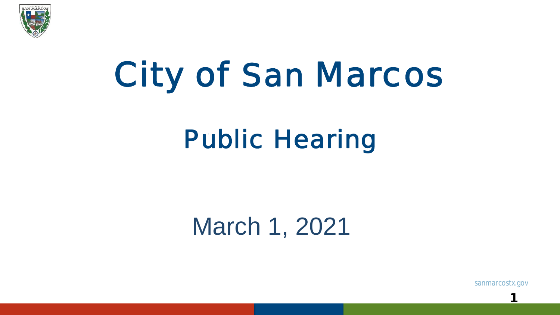

# City of San Marcos

# Public Hearing

## March 1, 2021

sanmarcostx.gov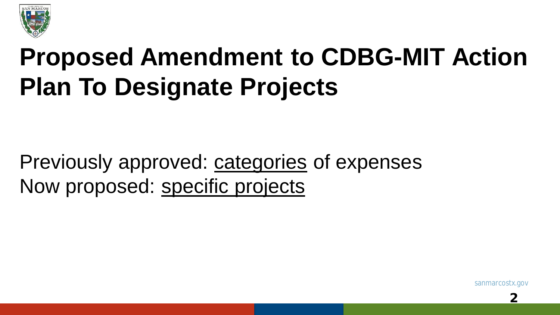

# **Proposed Amendment to CDBG-MIT Action Plan To Designate Projects**

Previously approved: categories of expenses Now proposed: specific projects

sanmarcostx.gov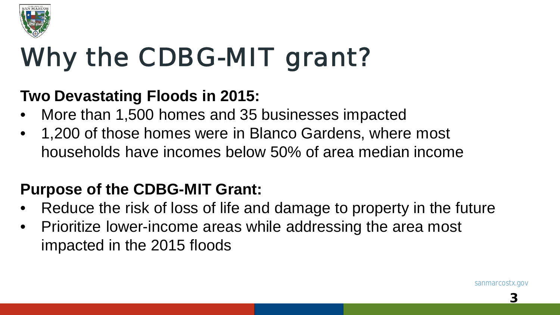

# Why the CDBG-MIT grant?

#### **Two Devastating Floods in 2015:**

- More than 1,500 homes and 35 businesses impacted
- 1,200 of those homes were in Blanco Gardens, where most households have incomes below 50% of area median income

### **Purpose of the CDBG-MIT Grant:**

- Reduce the risk of loss of life and damage to property in the future
- Prioritize lower-income areas while addressing the area most impacted in the 2015 floods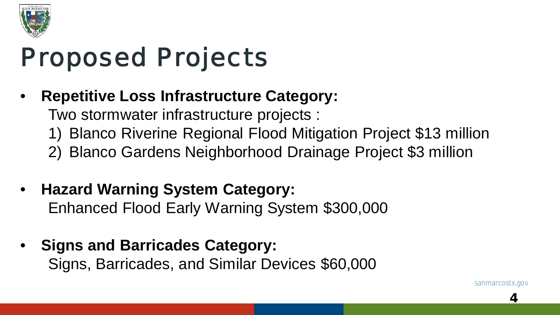

## Proposed Projects

• **Repetitive Loss Infrastructure Category:**

Two stormwater infrastructure projects :

- 1) Blanco Riverine Regional Flood Mitigation Project \$13 million
- 2) Blanco Gardens Neighborhood Drainage Project \$3 million
- **Hazard Warning System Category:** Enhanced Flood Early Warning System \$300,000
- **Signs and Barricades Category:** Signs, Barricades, and Similar Devices \$60,000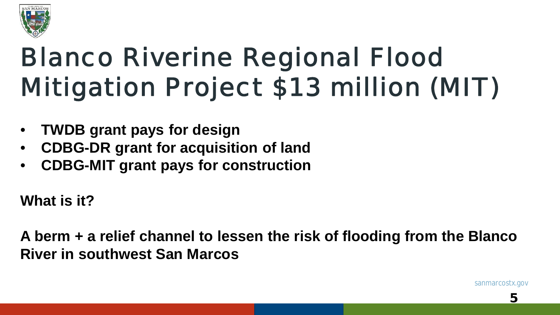

# Blanco Riverine Regional Flood Mitigation Project \$13 million (MIT)

- **TWDB grant pays for design**
- **CDBG-DR grant for acquisition of land**
- **CDBG-MIT grant pays for construction**

**What is it?**

**A berm + a relief channel to lessen the risk of flooding from the Blanco River in southwest San Marcos**

sanmarcostx.gov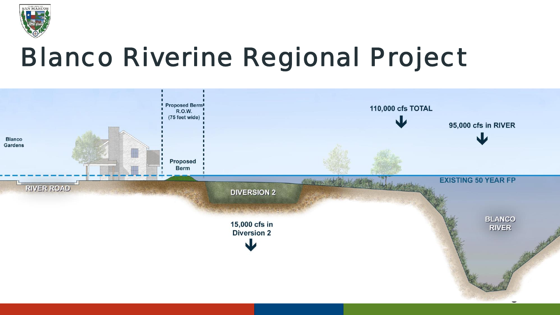

# Blanco Riverine Regional Project

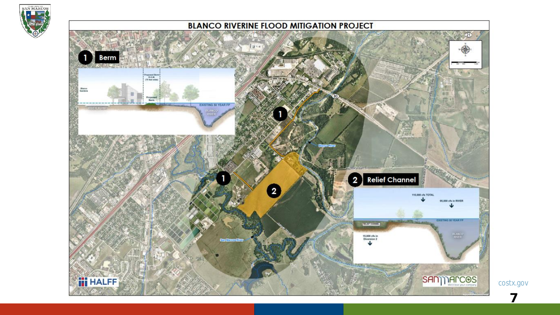

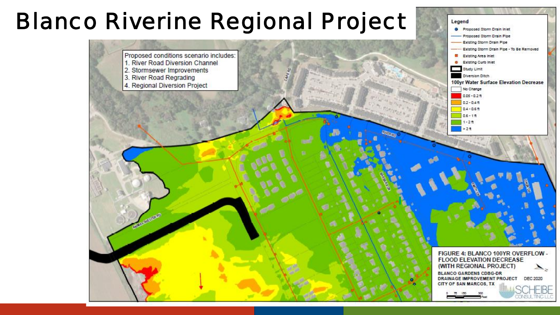### Blanco Riverine Regional Project



Legend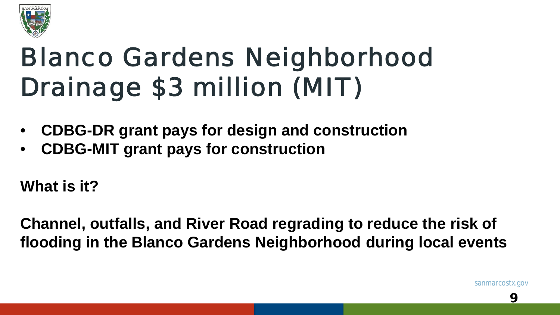

# Blanco Gardens Neighborhood Drainage \$3 million (MIT)

- **CDBG-DR grant pays for design and construction**
- **CDBG-MIT grant pays for construction**

**What is it?**

**Channel, outfalls, and River Road regrading to reduce the risk of flooding in the Blanco Gardens Neighborhood during local events**

sanmarcostx.gov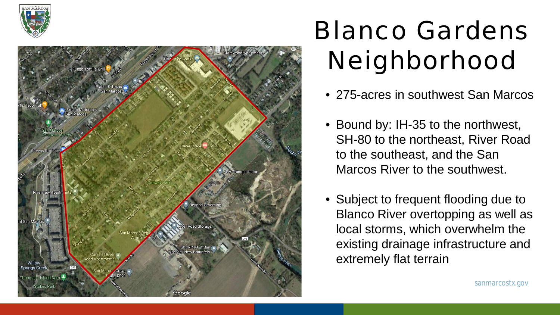



# Blanco Gardens Neighborhood

- 275-acres in southwest San Marcos
- Bound by: IH-35 to the northwest, SH-80 to the northeast, River Road to the southeast, and the San Marcos River to the southwest.
- Subject to frequent flooding due to Blanco River overtopping as well as local storms, which overwhelm the existing drainage infrastructure and extremely flat terrain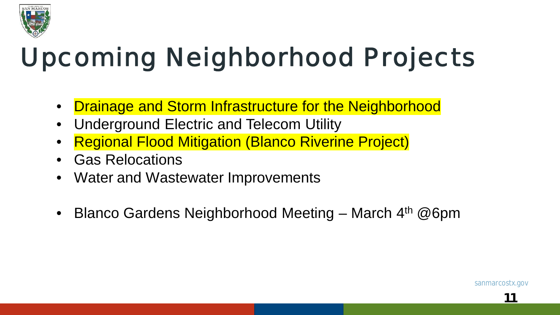

# Upcoming Neighborhood Projects

- Drainage and Storm Infrastructure for the Neighborhood
- Underground Electric and Telecom Utility
- Regional Flood Mitigation (Blanco Riverine Project)
- Gas Relocations
- Water and Wastewater Improvements
- Blanco Gardens Neighborhood Meeting March 4<sup>th</sup> @6pm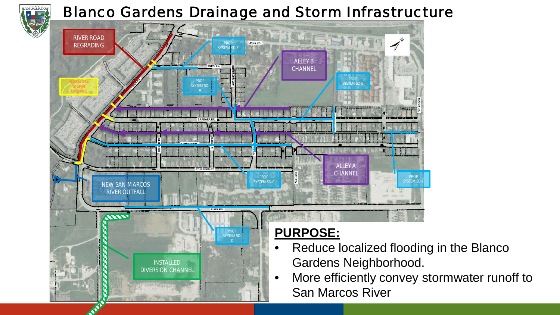# **SAN MARCO**

#### Blanco Gardens Drainage and Storm Infrastructure

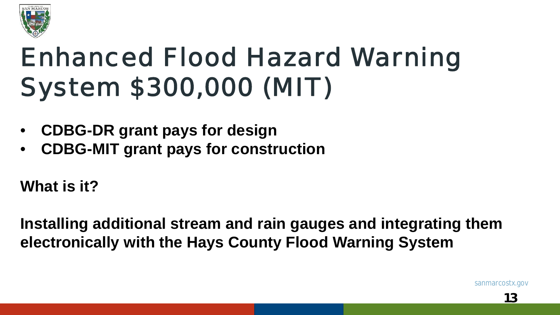

# Enhanced Flood Hazard Warning System \$300,000 (MIT)

- **CDBG-DR grant pays for design**
- **CDBG-MIT grant pays for construction**

**What is it?**

**Installing additional stream and rain gauges and integrating them electronically with the Hays County Flood Warning System**

sanmarcostx.gov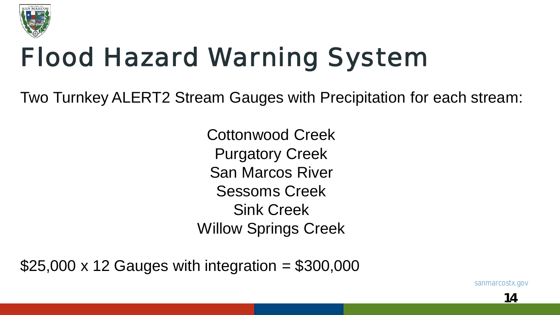

# Flood Hazard Warning System

Two Turnkey ALERT2 Stream Gauges with Precipitation for each stream:

Cottonwood Creek Purgatory Creek San Marcos River Sessoms Creek Sink Creek Willow Springs Creek

 $$25,000 \times 12$  Gauges with integration =  $$300,000$ 

sanmarcostx.gov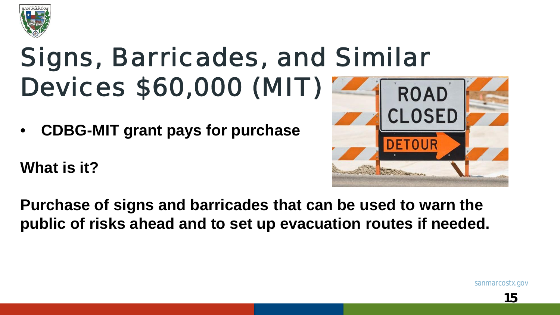

# Signs, Barricades, and Similar Devices \$60,000 (MIT)

• **CDBG-MIT grant pays for purchase**

**What is it?**



**Purchase of signs and barricades that can be used to warn the public of risks ahead and to set up evacuation routes if needed.**